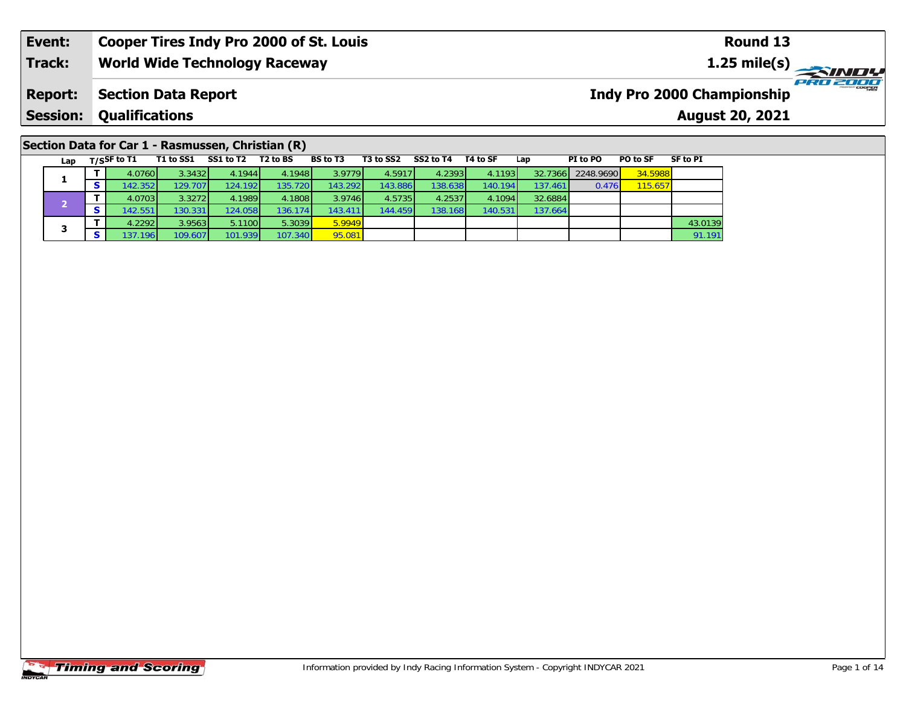#### **Event: Cooper Tires Indy Pro 2000 of St. Louis Round 131.25 mile(s) World Wide Technology Raceway Track: PRO 2000 Indy Pro 2000 Championship Report: Section Data Report Qualifications Session:August 20, 2021**

### **Section Data for Car 1 - Rasmussen, Christian (R)**

| Lap | $T/S$ SF to T1   | T1 to SS1 | SS1 to T2 | T <sub>2</sub> to BS | <b>BS</b> to T3 | T3 to SS2 | SS2 to T4 | T4 to SF | Lap     | PI to PO  | PO to SF | SF to PI |
|-----|------------------|-----------|-----------|----------------------|-----------------|-----------|-----------|----------|---------|-----------|----------|----------|
|     | 4.0760           | 3.3432    | 4.1944    | 4.1948               | 3.9779          | 4.5917    | 4.2393    | 4.1193   | 32.7366 | 2248.9690 | 34.5988  |          |
| л.  | 142.352          | 129.7071  | 124.1921  | 135.7201             | 143.292         | 143.886   | 138.6381  | 140.194  | 137.461 | 0.476     | 115.657  |          |
|     | 4.0703           | 3.3272    | 4.1989    | 4.1808               | 3.9746          | 4.5735    | 4.2537    | 4.1094   | 32.6884 |           |          |          |
|     | 142.551          | 130.331   | 124.058   | 136.174 <b>1</b>     | 143.411         | 144.459   | 138.168   | 140.531  | 137.664 |           |          |          |
| 3   | 4.2292           | 3.9563    | 5.1100    | 5.3039               | 5.9949          |           |           |          |         |           |          | 43.0139  |
|     | 137.196 <b>1</b> | 109.6071  | 101.939   | 107.340              | 95.081          |           |           |          |         |           |          | 91.191   |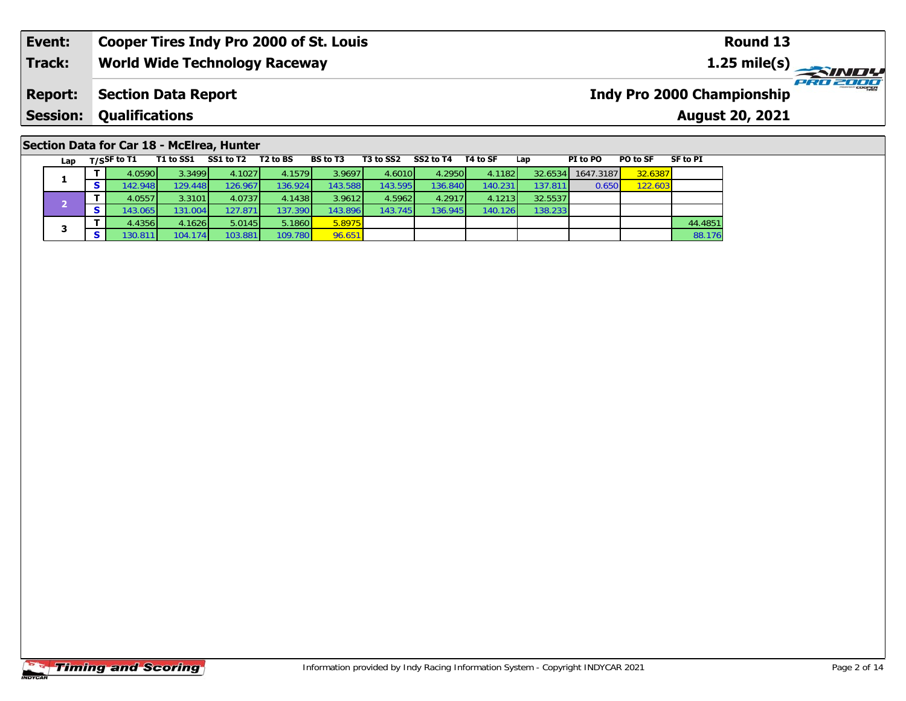# **Section Data for Car 18 - McElrea, Hunter**

| Lap | $T/S$ SF to T1 | T1 to SS1        | SS1 to T2 | T <sub>2</sub> to BS | <b>BS</b> to T3 | T3 to SS2 | SS2 to T4 | T4 to SF | Lap              | PI to PO  | PO to SF | <b>SF to PI</b> |
|-----|----------------|------------------|-----------|----------------------|-----------------|-----------|-----------|----------|------------------|-----------|----------|-----------------|
|     | 4.0590         | 3.3499           | 4.1027    | 4.1579               | 3.9697          | 4.6010    | 4.2950    | 4.1182   | 32.6534          | 1647.3187 | 32.6387  |                 |
| ж.  | 142.948        | 129.4481         | 126.967   | 136.9241             | 143.588         | 143.595   | 136.840   | 140.231  | 137.811 <b>1</b> | 0.650     | 122.603  |                 |
|     | 4.05571        | 3.3101           | 4.0737    | 4.1438               | 3.9612          | 4.5962    | 4.2917    | 4.1213   | 32.5537          |           |          |                 |
|     | 143.0651       | 131.004 <b>1</b> | 127.871   | 137.3901             | 143.896         | 143.745   | 136.9451  | 140.126  | 138.233          |           |          |                 |
|     | 4.4356         | 4.1626           | 5.0145    | 5.1860               | 5.8975          |           |           |          |                  |           |          | 44.4851         |
|     | 130.8111       | 104.174 <b>1</b> | 103.881   | 109.780              | 96.651          |           |           |          |                  |           |          | 88.176          |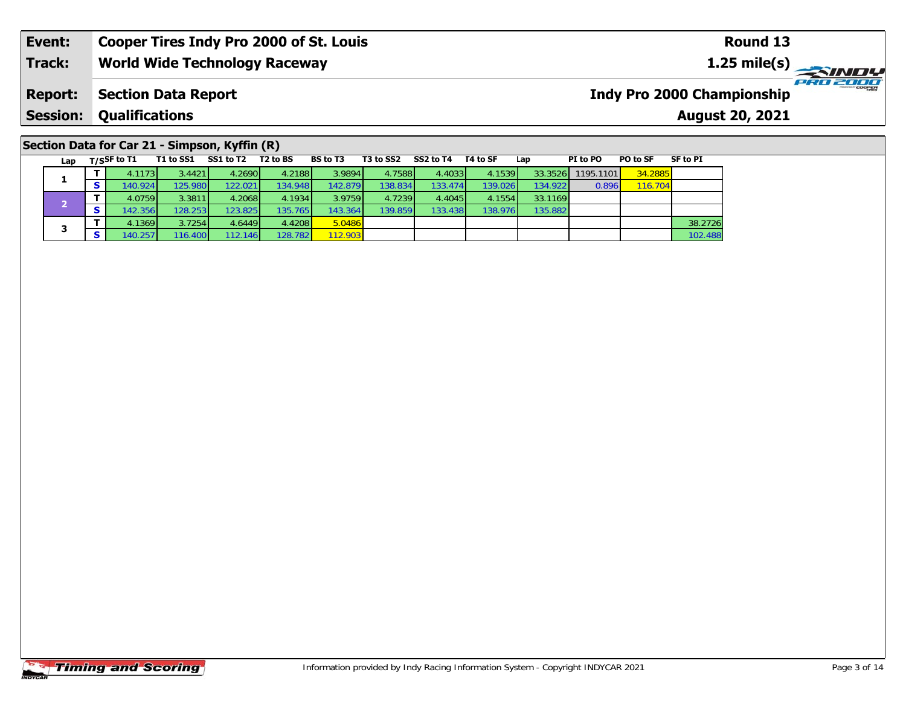## **Section Data for Car 21 - Simpson, Kyffin (R)**

| Lap | $T/S$ SF to T1 | T1 to SS1 | SS1 to T2        | T2 to BS | <b>BS</b> to T3 | T3 to SS2 | SS2 to T4 | T4 to SF | Lap      | PI to PO  | PO to SF | SF to PI |
|-----|----------------|-----------|------------------|----------|-----------------|-----------|-----------|----------|----------|-----------|----------|----------|
|     | 4.1173         | 3.4421    | 4.2690           | 4.2188   | 3.9894          | 4.7588    | 4.4033    | 4.1539   | 33.3526  | 1195.1101 | 34.2885  |          |
|     | 140.924        | 125.980   | 122.021          | 134.948  | 142.879         | 138.834   | 133.474   | 139.026  | 134.9221 | 0.896     | 116.704  |          |
|     | 4.0759         | 3.3811    | 4.2068           | 4.1934   | 3.9759          | 4.7239    | 4.4045    | 4.1554   | 33.1169  |           |          |          |
|     | 142.356        | 128.253   | 123.825          | 135.765  | 143.364         | 139.859   | 133.438   | 138.976  | 135.882  |           |          |          |
| з   | 4.1369         | 3.7254    | 4.6449           | 4.4208   | 5.0486          |           |           |          |          |           |          | 38.2726  |
|     | 140.257        | 116.400   | 112.146 <b>1</b> | 128.782  | 112.903         |           |           |          |          |           |          | 102.488  |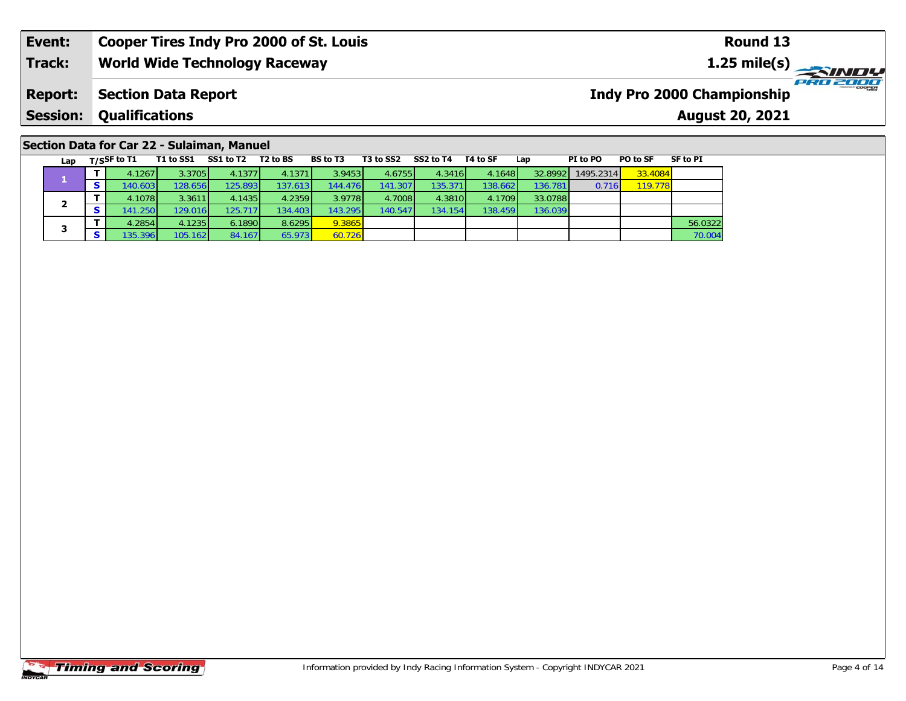# **Section Data for Car 22 - Sulaiman, Manuel**

| Lap | $T/S$ SF to T1 | T1 to SS1        | SS1 to T2 | T <sub>2</sub> to BS | <b>BS</b> to T3 | T3 to SS2 | SS2 to T4 | T4 to SF | Lap     | PI to PO  | PO to SF | SF to PI |
|-----|----------------|------------------|-----------|----------------------|-----------------|-----------|-----------|----------|---------|-----------|----------|----------|
|     | 4.1267         | 3.3705           | 4.1377    | 4.1371               | 3.9453          | 4.6755    | 4.3416    | 4.1648   | 32.8992 | 1495.2314 | 33.4084  |          |
|     | 140.603        | 128.656          | 125.893   | 137.613              | 144.476         | 141.307   | 135.371   | 138.6621 | 136.781 | 0.716     | 119.778  |          |
|     | 4.1078         | 3.3611           | 4.1435    | 4.2359               | 3.9778          | 4.7008    | 4.3810    | 4.1709   | 33.0788 |           |          |          |
|     | 141.250        | 129.016 <b>1</b> | 125.717   | 134.4031             | 143.295         | 140.547   | 134.154   | 138.459  | 136.039 |           |          |          |
| з   | 4.2854         | 4.1235           | 6.1890    | 8.6295               | 9.3865          |           |           |          |         |           |          | 56.0322  |
|     | 135.396        | 105.162          | 84.167    | 65.973               | 60.726          |           |           |          |         |           |          | 70.004   |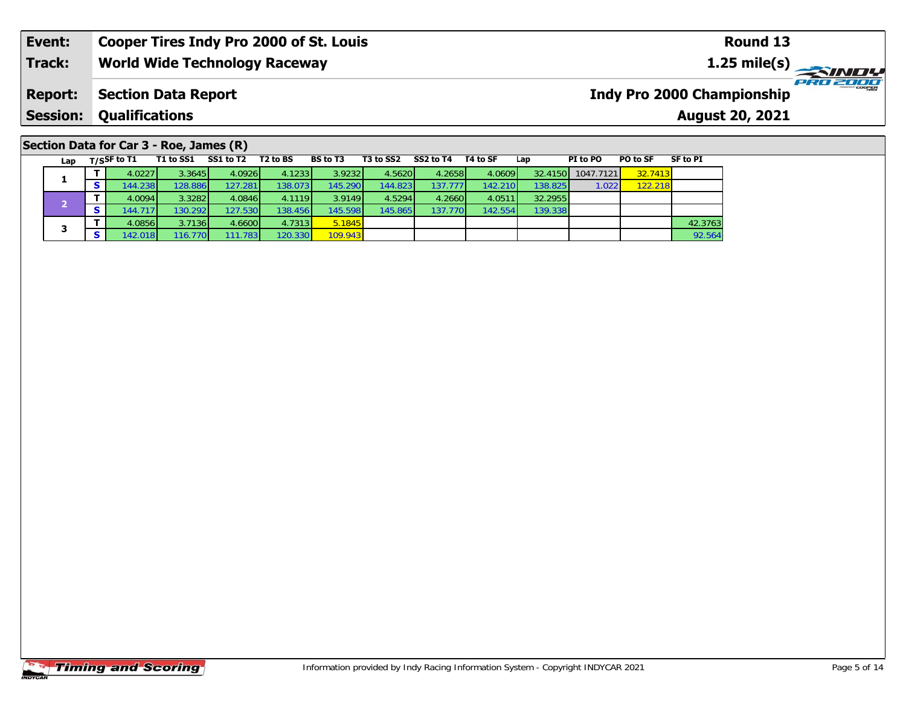# **Section Data for Car 3 - Roe, James (R)**

| Lap | $T/S$ SF to T1   | T1 to SS1        | SS1 to T2        | T2 to BS | <b>BS</b> to T3 | T3 to SS2 | SS2 to T4 | T4 to SF | Lap     | PI to PO  | PO to SF | SF to PI |
|-----|------------------|------------------|------------------|----------|-----------------|-----------|-----------|----------|---------|-----------|----------|----------|
|     | 4.0227           | 3.3645           | 4.0926           | 4.1233   | 3.9232          | 4.5620    | 4.2658    | 4.0609   | 32.4150 | 1047.7121 | 32.7413  |          |
|     | 144.238          | 128.886          | 127.281          | 138.0731 | 145.290         | 144.823   | 137.777   | 142.210  | 138.825 | 1.022     | 122.218  |          |
|     | 4.0094           | 3.3282           | 4.0846           | 4.1119   | 3.9149          | 4.5294    | 4.2660    | 4.0511   | 32.2955 |           |          |          |
|     | 144.717          | 130.292          | 127.530          | 138.456  | 145.598         | 145.865   | 137.770   | 142.554  | 139.338 |           |          |          |
|     | 4.0856           | 3.7136           | 4.6600           | 4.7313   | 5.1845          |           |           |          |         |           |          | 42.3763  |
|     | 142.018 <b>1</b> | 116.770 <b>1</b> | 111.783 <b>1</b> | 120.330  | 109.943         |           |           |          |         |           |          | 92.564   |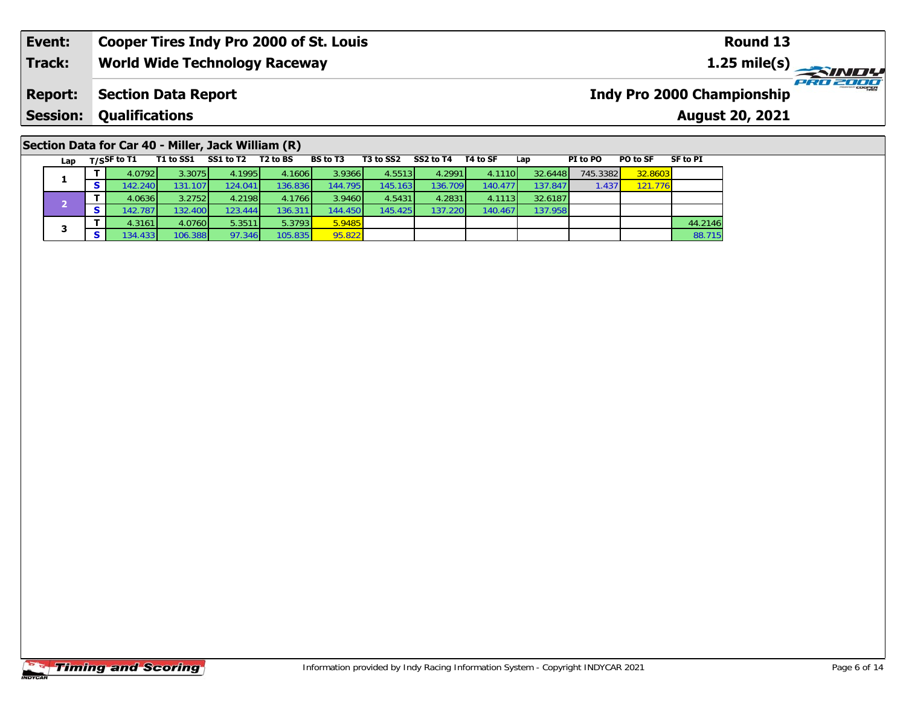# **Section Data for Car 40 - Miller, Jack William (R)**

| Lap | $T/S$ SF to T1 | T1 to SS1 | SS1 to T2 | T <sub>2</sub> to BS | <b>BS</b> to T3 | T3 to SS2 | SS2 to T4 | T4 to SF | Lap     | PI to PO | PO to SF | <b>SF to PI</b> |
|-----|----------------|-----------|-----------|----------------------|-----------------|-----------|-----------|----------|---------|----------|----------|-----------------|
|     | 4.0792         | 3.3075    | 4.1995    | 4.1606               | 3.9366          | 4.5513    | 4.2991    | 4.1110   | 32.6448 | 745.3382 | 32.8603  |                 |
|     | 142.240        | 131.107   | 124.0411  | 136.836              | 144.795         | 145.1631  | 136.709   | 140.477  | 137.847 | 1.437    | 121.776  |                 |
|     | 4.0636         | 3.2752    | 4.2198    | 4.1766               | 3.9460          | 4.5431    | 4.2831    | 4.1113   | 32.6187 |          |          |                 |
|     | 142.787        | 132.400   | 123.444   | 136.311              | 144.450         | 145.425   | 137.2201  | 140.467  | 137.958 |          |          |                 |
| з   | 4.3161         | 4.0760    | 5.3511    | 5.3793               | 5.9485          |           |           |          |         |          |          | 44.2146         |
|     | 134.433        | 106.388   | 97.346    | 105.835              | 95.822          |           |           |          |         |          |          | 88.715          |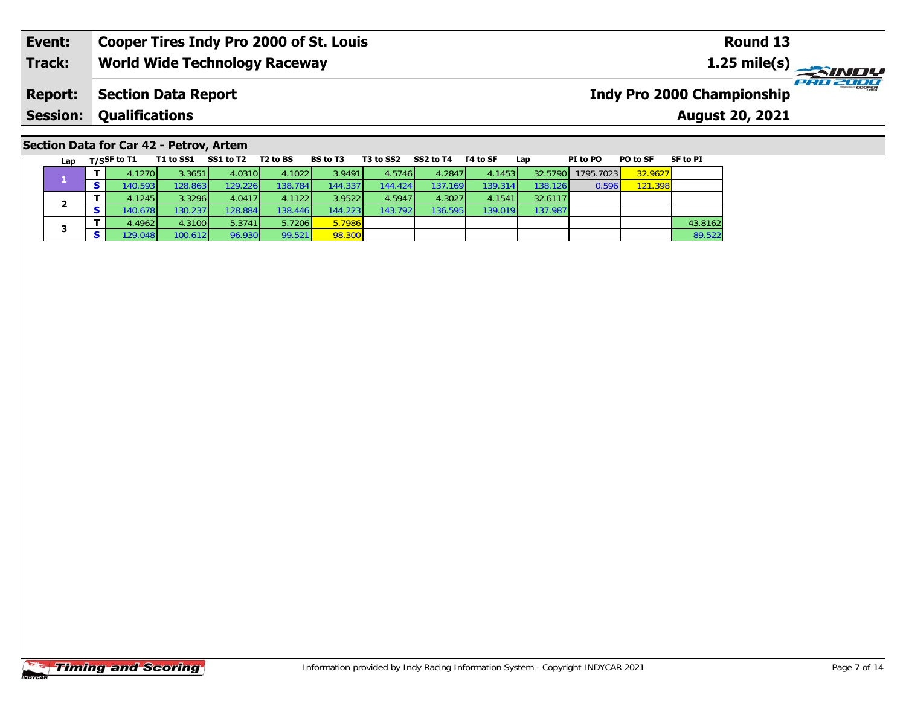### **Event: Cooper Tires Indy Pro 2000 of St. Louis Round 131.25 mile(s) World Wide Technology Raceway Track:** PRO 2000 **Indy Pro 2000 Championship Report: Section Data Report Qualifications Session:August 20, 2021**

# **Section Data for Car 42 - Petrov, Artem**

| Lap | $T/S$ SF to T1 | T1 to SS1 | SS1 to T2 | T2 to BS | <b>BS</b> to T3 | T3 to SS2 | SS2 to T4        | T4 to SF | Lap     | PI to PO  | PO to SF | SF to PI |
|-----|----------------|-----------|-----------|----------|-----------------|-----------|------------------|----------|---------|-----------|----------|----------|
|     | 4.1270         | 3.3651    | 4.0310    | 4.1022   | 3.9491          | 4.5746    | 4.2847           | 4.1453   | 32.5790 | 1795.7023 | 32.9627  |          |
|     | 140.593        | 128.863   | 129.226   | 138.784  | 144.337         | 144.424   | 137.169 <b>1</b> | 139.314  | 138.126 | 0.596     | 121.398  |          |
|     | 4.1245         | 3.3296    | 4.0417    | 4.1122   | 3.9522          | 4.5947    | 4.3027           | 4.1541   | 32.6117 |           |          |          |
| 2   | 140.678        | 130.237   | 128.884   | 138.446  | 144.223         | 143.792   | 136.595          | 139.019  | 137.987 |           |          |          |
| 3   | 4.4962         | 4.3100    | 5.3741    | 5.7206   | 5.7986          |           |                  |          |         |           |          | 43.8162  |
|     | 129.048        | 100.612   | 96.930    | 99.521   | 98.300          |           |                  |          |         |           |          | 89.522   |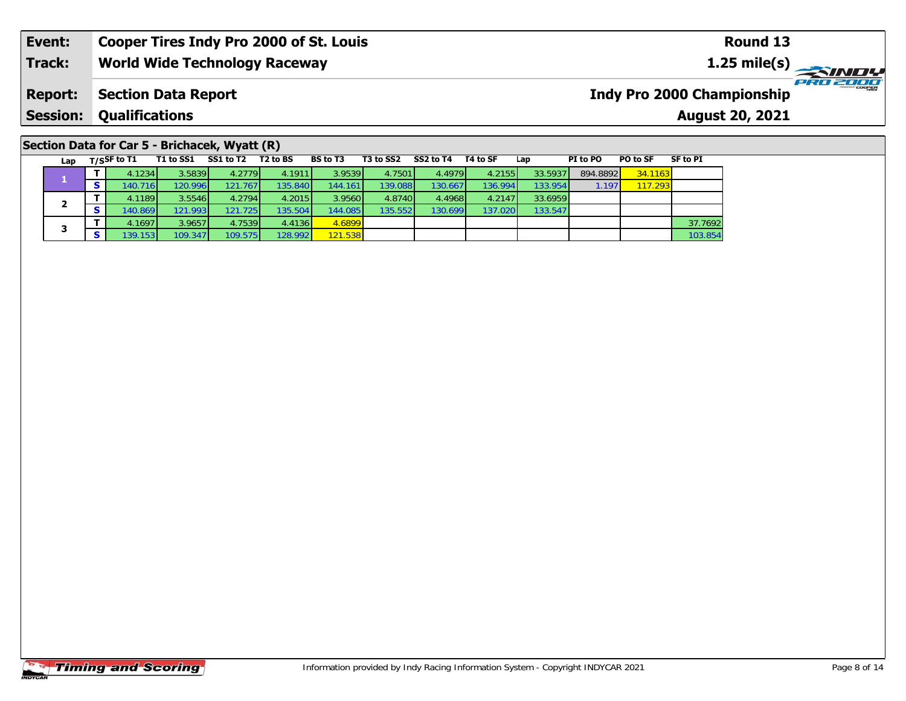|  |  | Section Data for Car 5 - Brichacek, Wyatt (R) |  |
|--|--|-----------------------------------------------|--|
|--|--|-----------------------------------------------|--|

| Lap | $T/S$ SF to T1 | T1 to SS1        | SS1 to T2 | T <sub>2</sub> to BS | <b>BS</b> to T3  | T3 to SS2 | SS2 to T4 | T4 to SF | Lap      | PI to PO | PO to SF | SF to PI |
|-----|----------------|------------------|-----------|----------------------|------------------|-----------|-----------|----------|----------|----------|----------|----------|
|     | 4.1234         | 3.5839           | 4.2779    | 4.1911               | 3.9539           | 4.7501    | 4.4979    | 4.2155   | 33.5937  | 894.8892 | 34.1163  |          |
|     | 140.716        | 120.996          | 121.767   | 135.840              | 144.161          | 139.088   | 130.667   | 136.994  | 133.9541 | 1.197    | 117.293  |          |
|     | 4.1189         | 3.5546           | 4.2794    | 4.2015               | 3.9560           | 4.8740    | 4.4968    | 4.2147   | 33.6959  |          |          |          |
|     | 140.869        | 121.993 <b>1</b> | 121.725   | 135.504              | 144.085 <b>1</b> | 135.5521  | 130.6991  | 137.020  | 133.547  |          |          |          |
| з   | 4.1697         | 3.9657           | 4.7539    | 4.4136               | 4.6899           |           |           |          |          |          |          | 37.7692  |
|     | 139.153        | 109.3471         | 109.575   | 128.992              | 121.538          |           |           |          |          |          |          | 103.854  |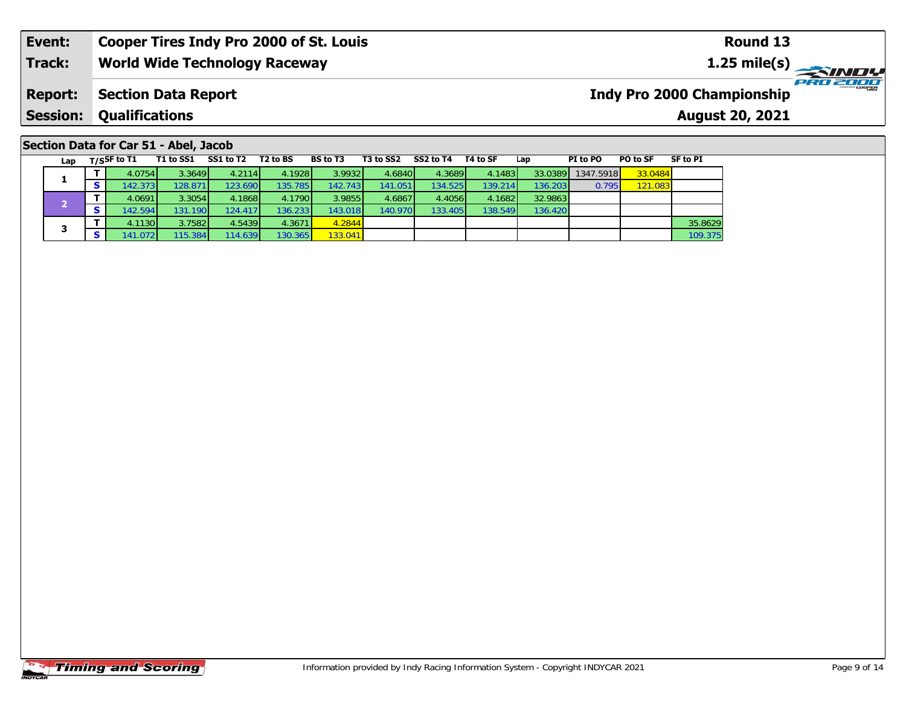### **Event:Round 13 Cooper Tires Indy Pro 2000 of St. Louis Track:World Wide Technology Raceway 1.25 mile(s)** PRO 2000 **Report: Section Data Report Indy Pro 2000 Championship Session: Qualifications August 20, 2021**

**T** 4.1130 3.7582 4.5439 4.3671 4.2844 35.8629 130.365 133.041 100.375 130.365 133.8629 100.375 109.375

136.420

### Lap T/S<sup>SF</sup> to T1 T1 to SS1 SS1 to T2 T2 to BS BS to T3 T3 to SS2 SS2 to T4 T4 to SF Lap PI to PO PO to SF SF to PI **1 <sup>T</sup>** 4.0754 3.3649 4.2114 4.1928 3.9932 4.6840 4.3689 4.1483 33.0389 1347.5918 33.0484 **<sup>S</sup>** 142.373 128.871 123.690 135.785 142.743 141.051 134.525 139.214 136.203 0.795 121.083**2 <sup>T</sup>** 4.0691 3.3054 4.1868 4.1790 3.9855 4.6867 4.4056 4.1682 32.9863 **<sup>S</sup>** 142.594 131.190 124.417 136.233 143.018 140.970 133.405 138.549 136.420**Section Data for Car 51 - Abel, Jacob**

**3**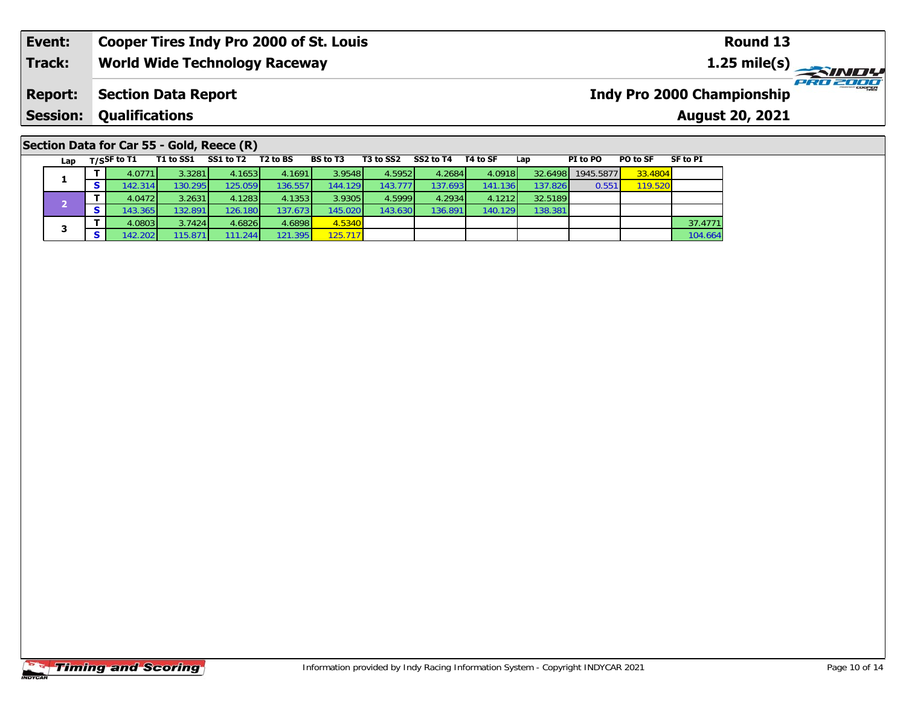### **Section Data for Car 55 - Gold, Reece (R)**

| Lap | $T/S$ SF to T1 | T1 to SS1        | SS1 to T2 | T2 to BS | <b>BS</b> to T3 | T3 to SS2 | SS2 to T4 | T4 to SF | Lap     | PI to PO  | PO to SF | SF to PI |
|-----|----------------|------------------|-----------|----------|-----------------|-----------|-----------|----------|---------|-----------|----------|----------|
|     | 4.0771         | 3.3281           | 4.1653    | 4.1691   | 3.9548          | 4.5952    | 4.2684    | 4.0918   | 32.6498 | 1945.5877 | 33.4804  |          |
|     | 142.3141       | 130.295          | 125.059   | 136.557  | 144.129         | 143.777   | 137.6931  | 141.136  | 137.826 | 0.551     | 119.520  |          |
|     | 4.0472         | 3.2631           | 4.1283    | 4.1353   | 3.9305          | 4.5999    | 4.2934    | 4.1212   | 32.5189 |           |          |          |
|     | 143.365        | 132.891          | 126.180   | 137.6731 | 145.020         | 143.630   | 136.891   | 140.129  | 138.381 |           |          |          |
| з   | 4.0803         | 3.7424           | 4.6826    | 4.6898   | 4.5340          |           |           |          |         |           |          | 37.4771  |
|     | 142.202        | 115.871 <b>l</b> | 111.244   | 121.395  | 125.717         |           |           |          |         |           |          | 104.664  |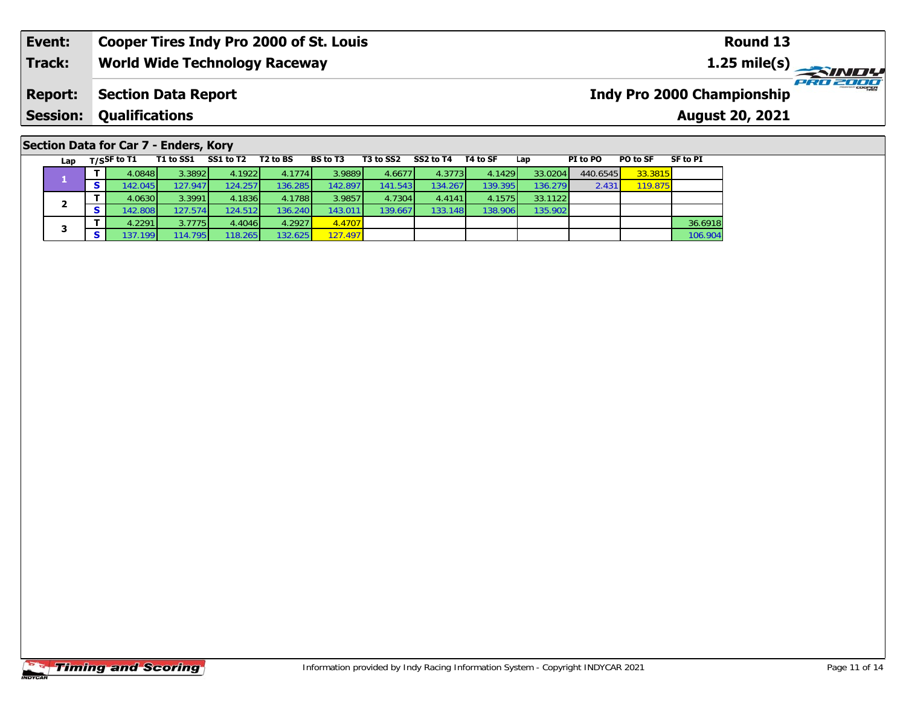|  |  | Section Data for Car 7 - Enders, Kory |  |
|--|--|---------------------------------------|--|
|  |  |                                       |  |

| Lap | $T/S$ SF to T1 | T1 to SS1 | SS1 to T2 | T <sub>2</sub> to BS | <b>BS</b> to T3 | T3 to SS2 | SS2 to T4 | T4 to SF | Lap     | PI to PO | PO to SF | SF to PI |
|-----|----------------|-----------|-----------|----------------------|-----------------|-----------|-----------|----------|---------|----------|----------|----------|
|     | 4.0848         | 3.3892    | 4.1922    | 4.1774               | 3.9889          | 4.6677    | 4.3773    | 4.1429   | 33.0204 | 440.6545 | 33.3815  |          |
|     | 142.045        | 127.9471  | 124.257   | 136.2851             | 142.897         | 141.543   | 134.267   | 139.395  | 136.279 | 2.431    | 119.875  |          |
|     | 4.0630         | 3.3991    | 4.1836    | 4.1788               | 3.9857          | 4.7304    | 4.4141    | 4.1575   | 33.1122 |          |          |          |
| ◢   | 142.808        | 127.574   | 124.512   | 136.2401             | 143.011         | 139.667   | 133.148   | 138.906  | 135.902 |          |          |          |
| з   | 4.2291         | 3.7775    | 4.4046    | 4.2927               | 4.4707          |           |           |          |         |          |          | 36.6918  |
|     | 137.199        | 114.795   | 118.265   | 132.625              | 127.497         |           |           |          |         |          |          | 106.904  |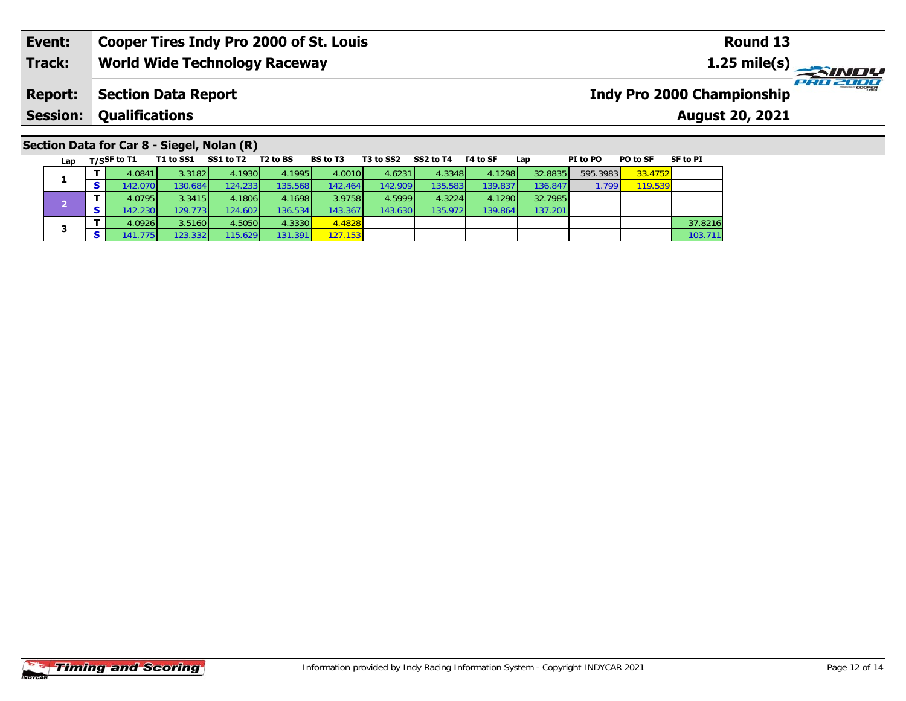# **Section Data for Car 8 - Siegel, Nolan (R)**

|  | Lap | $T/S$ SF to T1   | T1 to SS1 | SS1 to T2 | T <sub>2</sub> to BS | <b>BS</b> to T3 | T3 to SS2 | SS2 to T4 | T4 to SF | Lap     | PI to PO | PO to SF | <b>SF to PI</b> |
|--|-----|------------------|-----------|-----------|----------------------|-----------------|-----------|-----------|----------|---------|----------|----------|-----------------|
|  |     | 4.0841           | 3.3182    | 4.1930    | 4.1995               | 4.0010          | 4.6231    | 4.3348    | 4.1298   | 32.8835 | 595.3983 | 33.4752  |                 |
|  |     | 142.0701         | 130.684   | 124.2331  | 135.568              | 142.4641        | 142.909   | 135.583   | 139.837  | 136.847 | 1.799    | 119.539  |                 |
|  |     | 4.0795           | 3.3415    | 4.1806    | 4.1698               | 3.9758          | 4.5999    | 4.3224    | 4.1290   | 32.7985 |          |          |                 |
|  |     | 142.2301         | 129.7731  | 124.6021  | 136.534              | 143.3671        | 143.630   | 135.9721  | 139.864  | 137.201 |          |          |                 |
|  | з   | 4.0926           | 3.5160    | 4.5050    | 4.3330               | 4.4828          |           |           |          |         |          |          | 37.8216         |
|  |     | 141.775 <b>I</b> | 123.3321  | 115.6291  | 131.391              | 127.153         |           |           |          |         |          |          | 103.711         |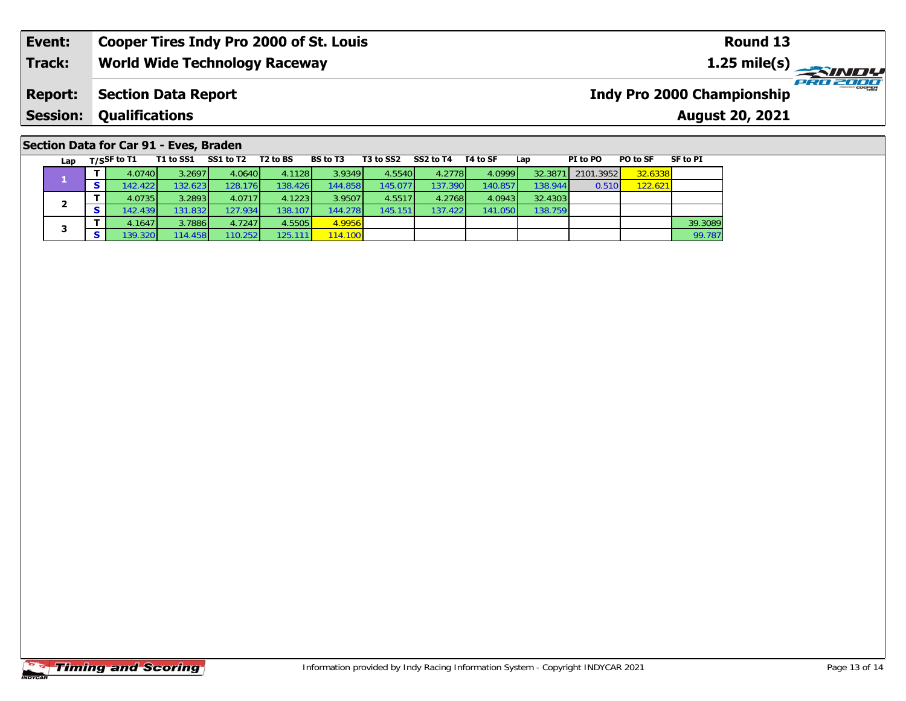| Section Data for Car 91 - Eves, Braden |  |  |
|----------------------------------------|--|--|
|----------------------------------------|--|--|

|  | Lap | T/SSF to $T1$ | T1 to SS1 | SS1 to T2 | T <sub>2</sub> to BS | <b>BS</b> to T3 | T3 to SS2 | SS2 to T4 | T4 to SF | Lap     | PI to PO  | PO to SF | <b>SF to PI</b> |
|--|-----|---------------|-----------|-----------|----------------------|-----------------|-----------|-----------|----------|---------|-----------|----------|-----------------|
|  |     | 4.0740        | 3.2697    | 4.0640    | 4.1128               | 3.9349          | 4.5540    | 4.2778    | 4.0999   | 32.3871 | 2101.3952 | 32.6338  |                 |
|  |     | 142.4221      | 132.623   | 128.176   | 138.426              | 144.858         | 145.077   | 137.390   | 140.857  | 138.944 | 0.510     | 122.621  |                 |
|  | -   | 4.0735        | 3.2893    | 4.0717    | 4.1223               | 3.9507          | 4.5517    | 4.2768    | 4.0943   | 32.4303 |           |          |                 |
|  |     | 142.439       | 131.832   | 127.934   | 138.107              | 144.278         | 145.151   | 137.4221  | 141.050  | 138.759 |           |          |                 |
|  | 3   | 4.1647        | 3.7886    | 4.7247    | 4.5505               | 4.9956          |           |           |          |         |           |          | 39.3089         |
|  |     | 139.320       | 114.458   | 110.2521  | 125.111              | 114.100         |           |           |          |         |           |          | 99.787          |